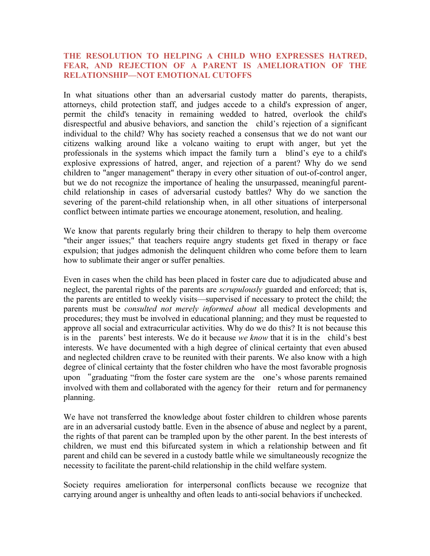## **THE RESOLUTION TO HELPING A CHILD WHO EXPRESSES HATRED, FEAR, AND REJECTION OF A PARENT IS AMELIORATION OF THE RELATIONSHIP—NOT EMOTIONAL CUTOFFS**

In what situations other than an adversarial custody matter do parents, therapists, attorneys, child protection staff, and judges accede to a child's expression of anger, permit the child's tenacity in remaining wedded to hatred, overlook the child's disrespectful and abusive behaviors, and sanction the child's rejection of a significant individual to the child? Why has society reached a consensus that we do not want our citizens walking around like a volcano waiting to erupt with anger, but yet the professionals in the systems which impact the family turn a blind's eye to a child's explosive expressions of hatred, anger, and rejection of a parent? Why do we send children to "anger management" therapy in every other situation of out-of-control anger, but we do not recognize the importance of healing the unsurpassed, meaningful parentchild relationship in cases of adversarial custody battles? Why do we sanction the severing of the parent-child relationship when, in all other situations of interpersonal conflict between intimate parties we encourage atonement, resolution, and healing.

We know that parents regularly bring their children to therapy to help them overcome "their anger issues;" that teachers require angry students get fixed in therapy or face expulsion; that judges admonish the delinquent children who come before them to learn how to sublimate their anger or suffer penalties.

Even in cases when the child has been placed in foster care due to adjudicated abuse and neglect, the parental rights of the parents are *scrupulously* guarded and enforced; that is, the parents are entitled to weekly visits—supervised if necessary to protect the child; the parents must be *consulted not merely informed about* all medical developments and procedures; they must be involved in educational planning; and they must be requested to approve all social and extracurricular activities. Why do we do this? It is not because this is in the parents' best interests. We do it because *we know* that it is in the child's best interests. We have documented with a high degree of clinical certainty that even abused and neglected children crave to be reunited with their parents. We also know with a high degree of clinical certainty that the foster children who have the most favorable prognosis upon "graduating "from the foster care system are the one's whose parents remained involved with them and collaborated with the agency for their return and for permanency planning.

We have not transferred the knowledge about foster children to children whose parents are in an adversarial custody battle. Even in the absence of abuse and neglect by a parent, the rights of that parent can be trampled upon by the other parent. In the best interests of children, we must end this bifurcated system in which a relationship between and fit parent and child can be severed in a custody battle while we simultaneously recognize the necessity to facilitate the parent-child relationship in the child welfare system.

Society requires amelioration for interpersonal conflicts because we recognize that carrying around anger is unhealthy and often leads to anti-social behaviors if unchecked.